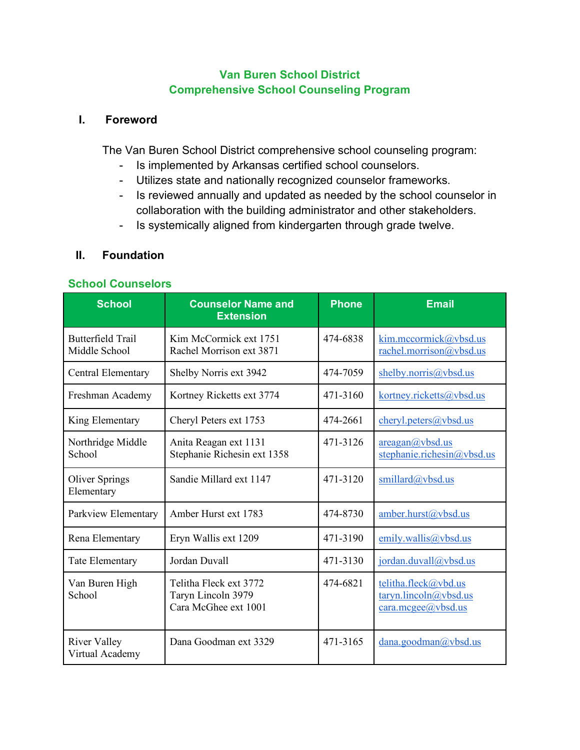## **Van Buren School District Comprehensive School Counseling Program**

#### **I. Foreword**

The Van Buren School District comprehensive school counseling program:

- Is implemented by Arkansas certified school counselors.
- Utilizes state and nationally recognized counselor frameworks.
- Is reviewed annually and updated as needed by the school counselor in collaboration with the building administrator and other stakeholders.
- Is systemically aligned from kindergarten through grade twelve.

## **II. Foundation**

#### **School Counselors**

| <b>School</b>                             | <b>Counselor Name and</b><br><b>Extension</b>                        | <b>Phone</b> | <b>Email</b>                                                         |
|-------------------------------------------|----------------------------------------------------------------------|--------------|----------------------------------------------------------------------|
| <b>Butterfield Trail</b><br>Middle School | Kim McCormick ext 1751<br>Rachel Morrison ext 3871                   | 474-6838     | kim.mccormick@vbsd.us<br>rachel.morrison@vbsd.us                     |
| Central Elementary                        | Shelby Norris ext 3942                                               | 474-7059     | shelby.norris@vbsd.us                                                |
| Freshman Academy                          | Kortney Ricketts ext 3774                                            | 471-3160     | kortney.ricketts@vbsd.us                                             |
| King Elementary                           | Cheryl Peters ext 1753                                               | 474-2661     | cheryl.peters@vbsd.us                                                |
| Northridge Middle<br>School               | Anita Reagan ext 1131<br>Stephanie Richesin ext 1358                 | 471-3126     | areaan(a/vbsd.us<br>stephanie.richesin@vbsd.us                       |
| <b>Oliver Springs</b><br>Elementary       | Sandie Millard ext 1147                                              | 471-3120     | smillard@vbsd.us                                                     |
| Parkview Elementary                       | Amber Hurst ext 1783                                                 | 474-8730     | amber.hurst@vbsd.us                                                  |
| Rena Elementary                           | Eryn Wallis ext 1209                                                 | 471-3190     | emily.wallis@vbsd.us                                                 |
| <b>Tate Elementary</b>                    | Jordan Duvall                                                        | 471-3130     | jordan.duvall@vbsd.us                                                |
| Van Buren High<br>School                  | Telitha Fleck ext 3772<br>Taryn Lincoln 3979<br>Cara McGhee ext 1001 | 474-6821     | telitha.fleck@vbd.us<br>taryn.lincoh(a/vbsd.us<br>cara.mcgee@vbsd.us |
| <b>River Valley</b><br>Virtual Academy    | Dana Goodman ext 3329                                                | 471-3165     | dana.goodman@vbsd.us                                                 |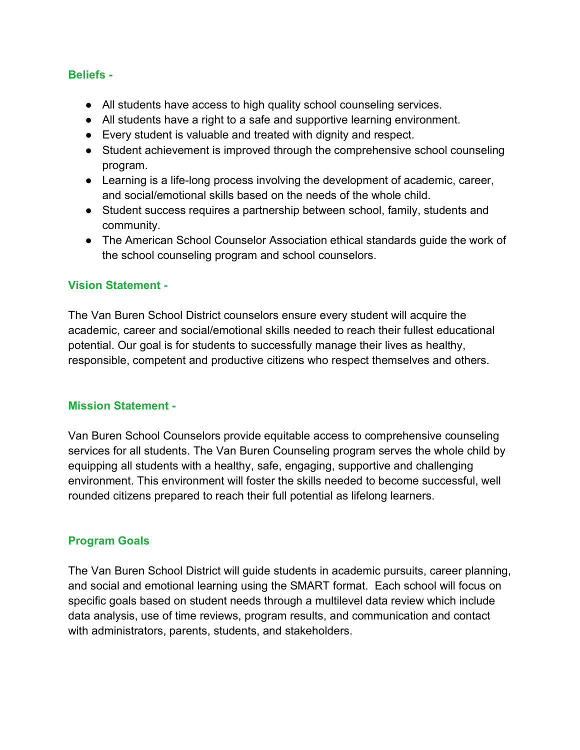#### **Beliefs -**

- All students have access to high quality school counseling services.
- All students have a right to a safe and supportive learning environment.
- Every student is valuable and treated with dignity and respect.
- Student achievement is improved through the comprehensive school counseling program.
- Learning is a life-long process involving the development of academic, career, and social/emotional skills based on the needs of the whole child.
- Student success requires a partnership between school, family, students and community.
- The American School Counselor Association ethical standards guide the work of the school counseling program and school counselors.

## **Vision Statement -**

The Van Buren School District counselors ensure every student will acquire the academic, career and social/emotional skills needed to reach their fullest educational potential. Our goal is for students to successfully manage their lives as healthy, responsible, competent and productive citizens who respect themselves and others.

## **Mission Statement -**

Van Buren School Counselors provide equitable access to comprehensive counseling services for all students. The Van Buren Counseling program serves the whole child by equipping all students with a healthy, safe, engaging, supportive and challenging environment. This environment will foster the skills needed to become successful, well rounded citizens prepared to reach their full potential as lifelong learners.

## **Program Goals**

The Van Buren School District will guide students in academic pursuits, career planning, and social and emotional learning using the SMART format. Each school will focus on specific goals based on student needs through a multilevel data review which include data analysis, use of time reviews, program results, and communication and contact with administrators, parents, students, and stakeholders.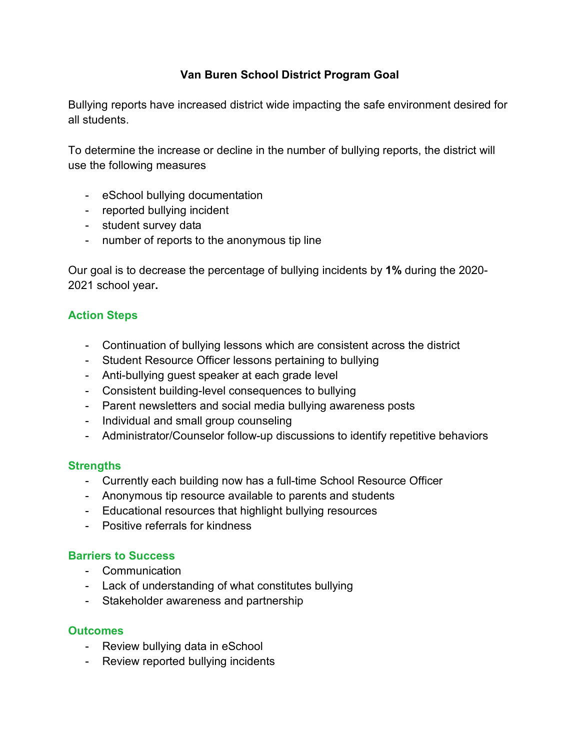## **Van Buren School District Program Goal**

Bullying reports have increased district wide impacting the safe environment desired for all students.

To determine the increase or decline in the number of bullying reports, the district will use the following measures

- eSchool bullying documentation
- reported bullying incident
- student survey data
- number of reports to the anonymous tip line

Our goal is to decrease the percentage of bullying incidents by **1%** during the 2020- 2021 school year**.**

# **Action Steps**

- Continuation of bullying lessons which are consistent across the district
- Student Resource Officer lessons pertaining to bullying
- Anti-bullying guest speaker at each grade level
- Consistent building-level consequences to bullying
- Parent newsletters and social media bullying awareness posts
- Individual and small group counseling
- Administrator/Counselor follow-up discussions to identify repetitive behaviors

# **Strengths**

- Currently each building now has a full-time School Resource Officer
- Anonymous tip resource available to parents and students
- Educational resources that highlight bullying resources
- Positive referrals for kindness

# **Barriers to Success**

- Communication
- Lack of understanding of what constitutes bullying
- Stakeholder awareness and partnership

## **Outcomes**

- Review bullying data in eSchool
- Review reported bullying incidents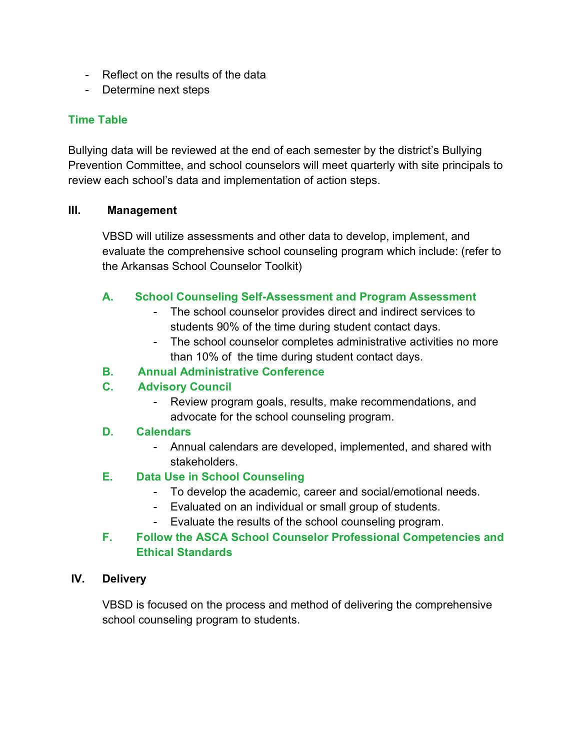- Reflect on the results of the data
- Determine next steps

## **Time Table**

Bullying data will be reviewed at the end of each semester by the district's Bullying Prevention Committee, and school counselors will meet quarterly with site principals to review each school's data and implementation of action steps.

#### **III. Management**

VBSD will utilize assessments and other data to develop, implement, and evaluate the comprehensive school counseling program which include: (refer to the Arkansas School Counselor Toolkit)

## **A. School Counseling Self-Assessment and Program Assessment**

- The school counselor provides direct and indirect services to students 90% of the time during student contact days.
- The school counselor completes administrative activities no more than 10% of the time during student contact days.

## **B. Annual Administrative Conference**

# **C. Advisory Council**

Review program goals, results, make recommendations, and advocate for the school counseling program.

## **D. Calendars**

- Annual calendars are developed, implemented, and shared with stakeholders.

## **E. Data Use in School Counseling**

- To develop the academic, career and social/emotional needs.
- Evaluated on an individual or small group of students.
- Evaluate the results of the school counseling program.

## **F. Follow the ASCA School Counselor Professional Competencies and Ethical Standards**

#### **IV. Delivery**

VBSD is focused on the process and method of delivering the comprehensive school counseling program to students.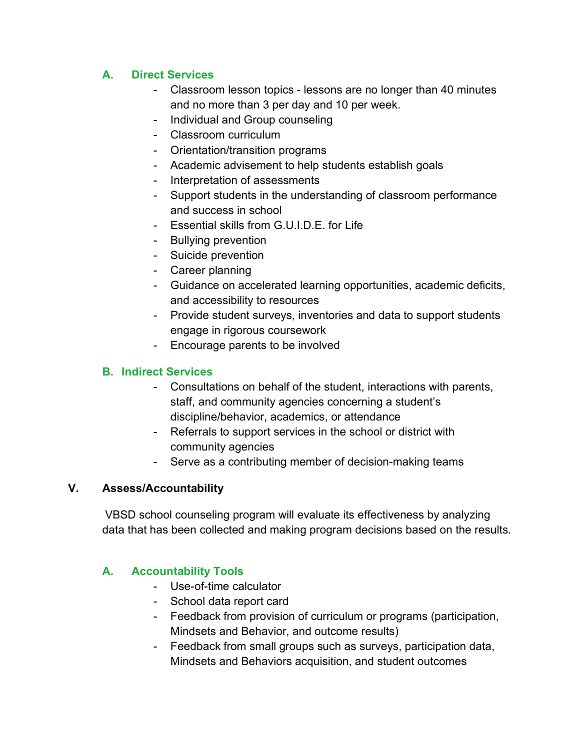# **A. Direct Services**

- Classroom lesson topics lessons are no longer than 40 minutes and no more than 3 per day and 10 per week.
- Individual and Group counseling
- Classroom curriculum
- Orientation/transition programs
- Academic advisement to help students establish goals
- Interpretation of assessments
- Support students in the understanding of classroom performance and success in school
- Essential skills from G.U.I.D.E. for Life
- Bullying prevention
- Suicide prevention
- Career planning
- Guidance on accelerated learning opportunities, academic deficits, and accessibility to resources
- Provide student surveys, inventories and data to support students engage in rigorous coursework
- Encourage parents to be involved

# **B. Indirect Services**

- Consultations on behalf of the student, interactions with parents, staff, and community agencies concerning a student's discipline/behavior, academics, or attendance
- Referrals to support services in the school or district with community agencies
- Serve as a contributing member of decision-making teams

# **V. Assess/Accountability**

VBSD school counseling program will evaluate its effectiveness by analyzing data that has been collected and making program decisions based on the results.

# **A. Accountability Tools**

- Use-of-time calculator
- School data report card
- Feedback from provision of curriculum or programs (participation, Mindsets and Behavior, and outcome results)
- Feedback from small groups such as surveys, participation data, Mindsets and Behaviors acquisition, and student outcomes